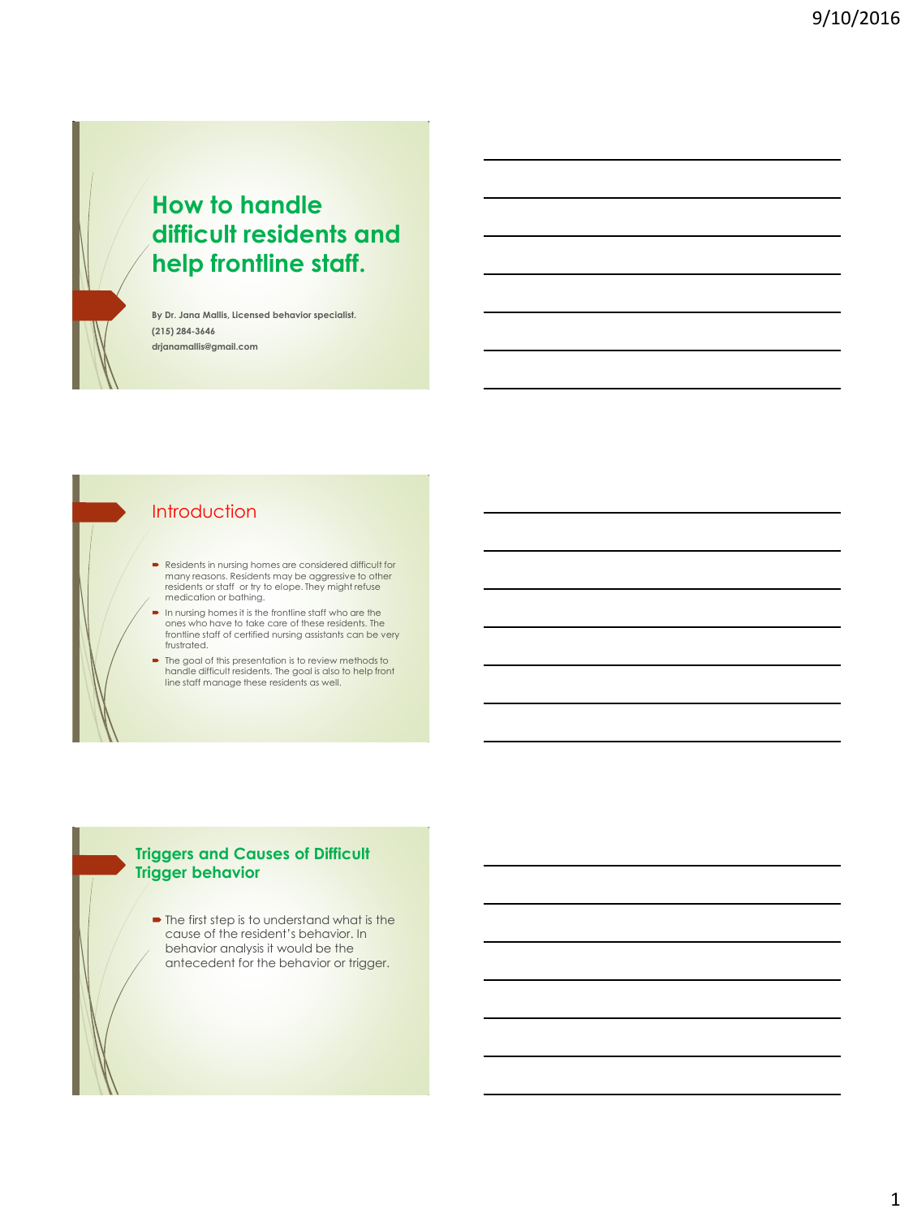

# **How to handle difficult residents and help frontline staff.**

**By Dr. Jana Mallis, Licensed behavior specialist. (215) 284-3646 drjanamallis@gmail.com**

### Introduction

- Residents in nursing homes are considered difficult for many reasons. Residents may be aggressive to other<br>residents or staff or try to elope. They might refuse<br>medication or bathing.
- In nursing homes it is the frontline staff who are the ones who have to take care of these residents. The frontline staff of certified nursing assistants can be very frustrated.
- The goal of this presentation is to review methods to handle difficult residents. The goal is also to help front line staff manage these residents as well.

#### **Triggers and Causes of Difficult Trigger behavior**

• The first step is to understand what is the cause of the resident's behavior. In behavior analysis it would be the antecedent for the behavior or trigger.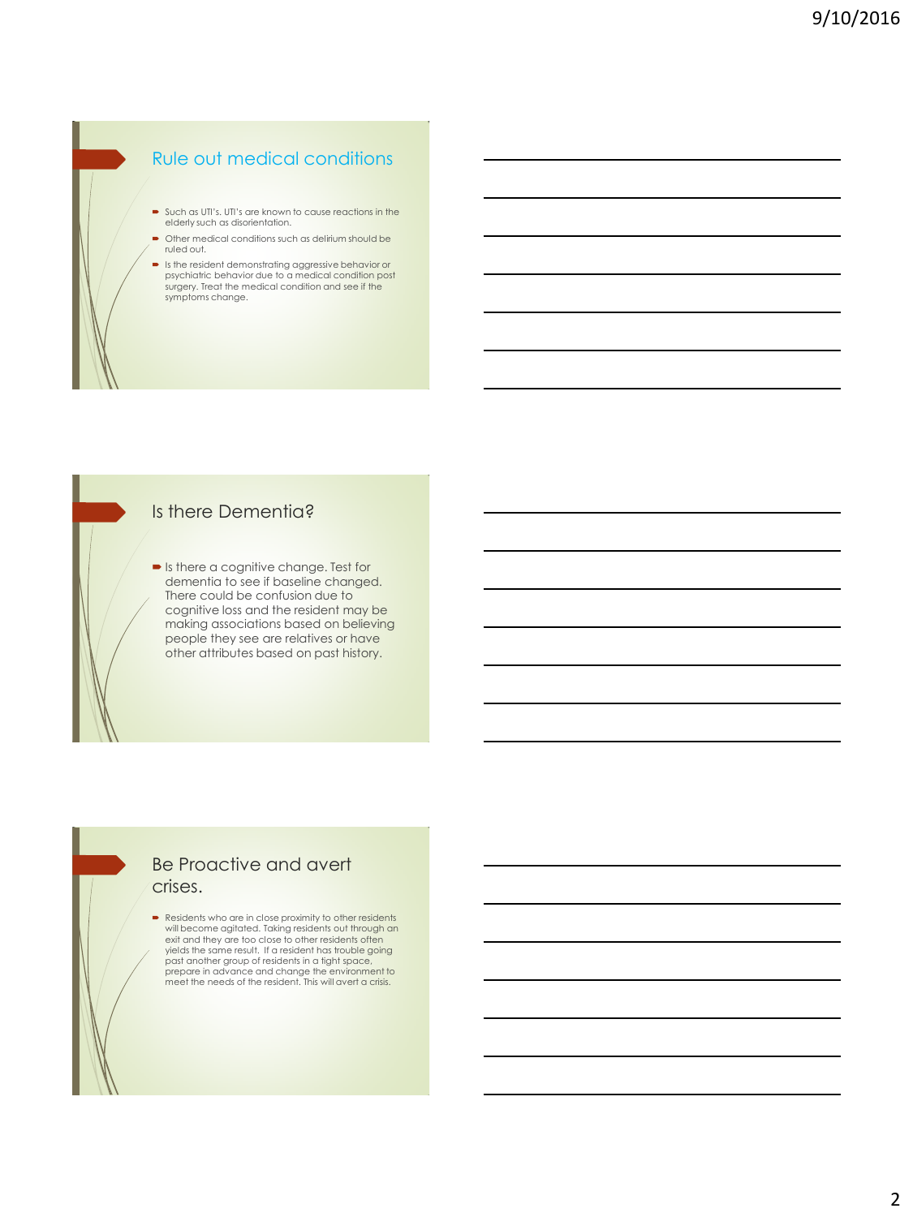## Rule out medical conditions

- Such as UTI's. UTI's are known to cause reactions in the elderly such as disorientation.
- $\bullet$  Other medical conditions such as delirium should be ruled out.
- Is the resident demonstrating aggressive behavior or psychiatric behavior due to a medical condition post surgery. Treat the medical condition and see if the symptoms change.

### Is there Dementia?

**In the a cognitive change. Test for** dementia to see if baseline changed. There could be confusion due to cognitive loss and the resident may be making associations based on believing people they see are relatives or have other attributes based on past history.

#### Be Proactive and avert crises.

 Residents who are in close proximity to other residents will become agitated. Taking residents out through an exit and they are too close to other residents often<br>yields the same result. If a resident has trouble going past another group of residents in a tight space, prepare in advance and change the environment to meet the needs of the resident. This will avert a crisis.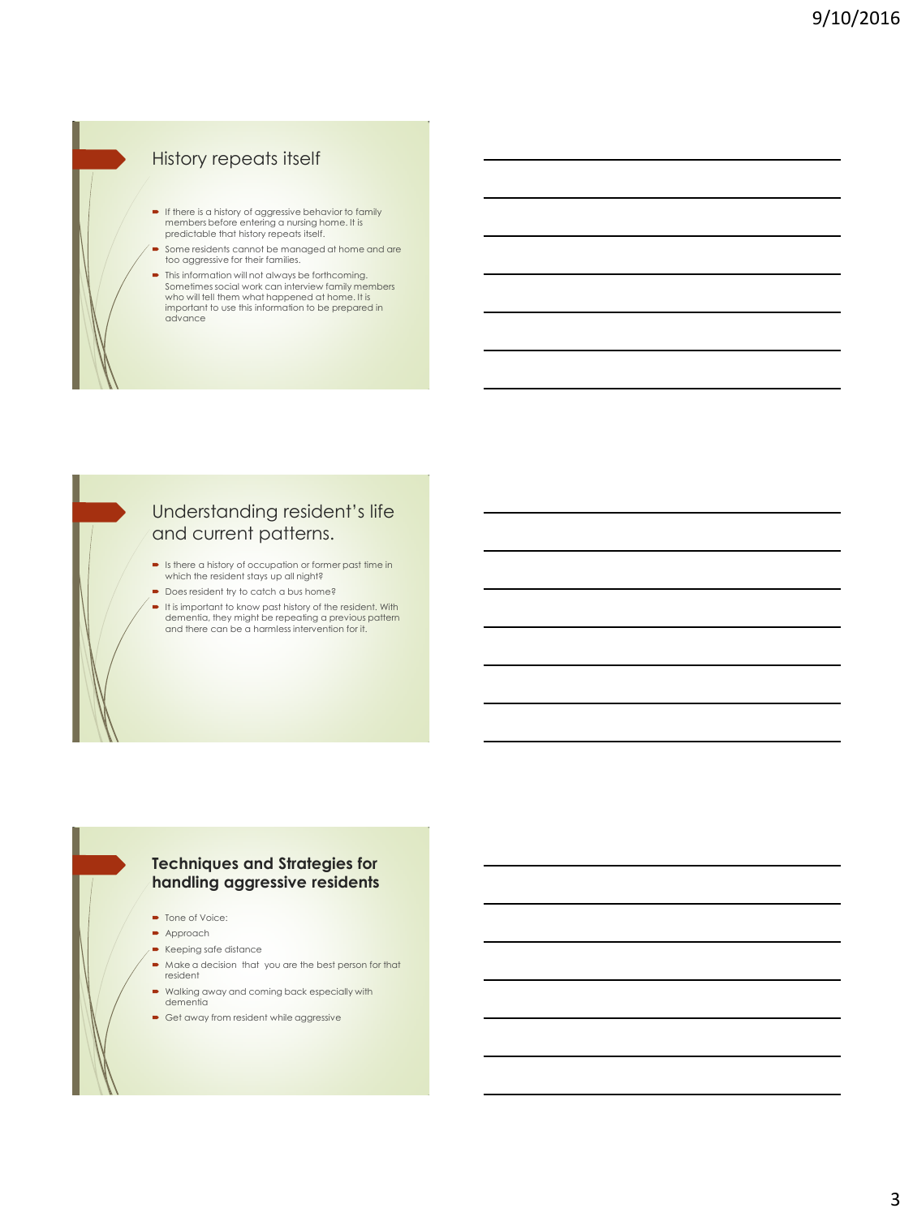### History repeats itself

- If there is a history of aggressive behavior to family members before entering a nursing home. It is predictable that history repeats itself.
- Some residents cannot be managed at home and are too aggressive for their families.
- This information will not always be forthcoming. Sometimes social work can interview family members who will tell them what happened at home. It is important to use this information to be prepared in advance



### Understanding resident's life and current patterns.

- Is there a history of occupation or former past time in which the resident stays up all night?
- Does resident try to catch a bus home?
- It is important to know past history of the resident. With dementia, they might be repeating a previous pattern and there can be a harmless intervention for it.

#### **Techniques and Strategies for handling aggressive residents**

- Tone of Voice:
- **Approach**
- Keeping safe distance
- Make a decision that you are the best person for that resident
- Walking away and coming back especially with dementia
- Get away from resident while aggressive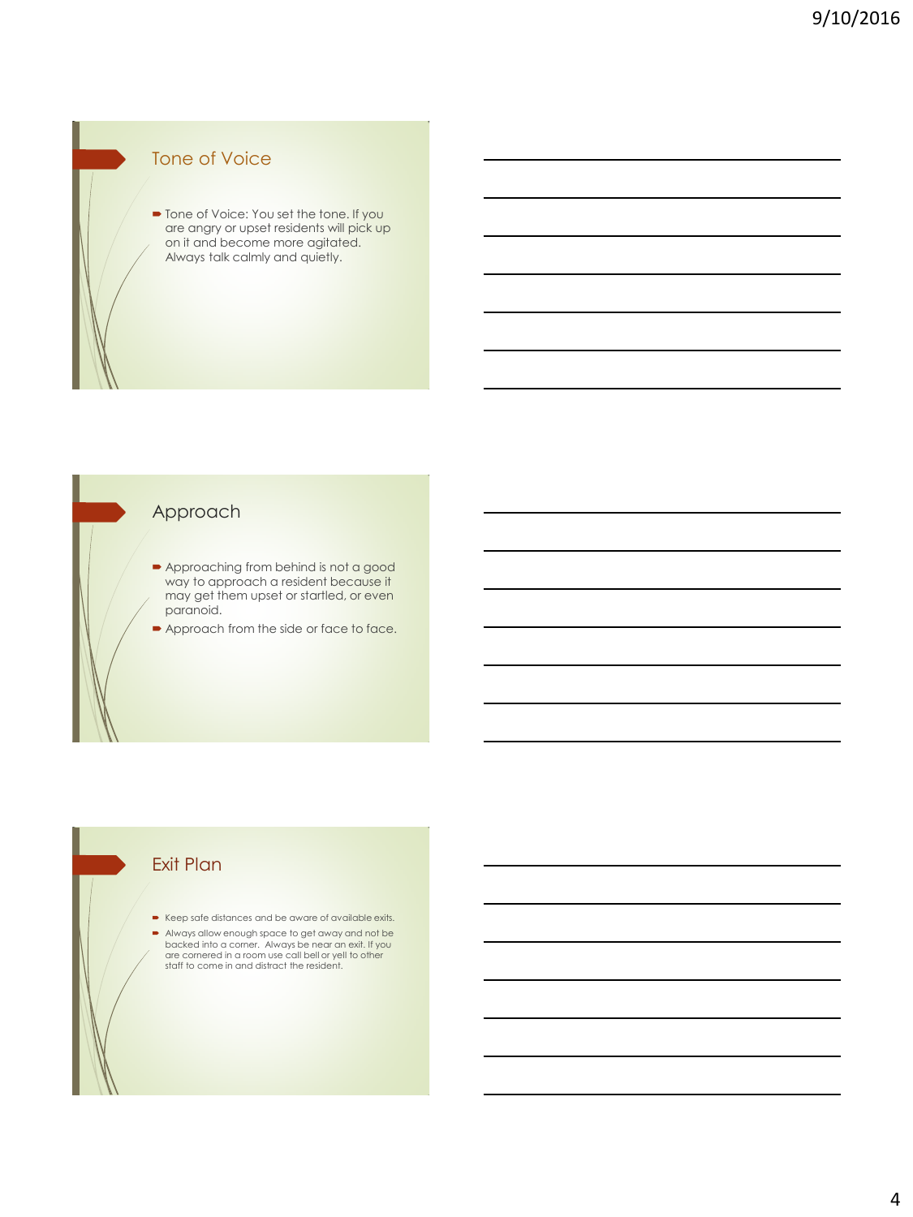## Tone of Voice

■ Tone of Voice: You set the tone. If you are angry or upset residents will pick up on it and become more agitated. Always talk calmly and quietly.

### Approach

- Approaching from behind is not a good way to approach a resident because it may get them upset or startled, or even paranoid.
- **Approach from the side or face to face.**

### Exit Plan

- Keep safe distances and be aware of available exits.
- Always allow enough space to get away and not be backed into a corner. Always be near an exit. If you are cornered in a room use call bell or yell to other staff to come in and distract the resident.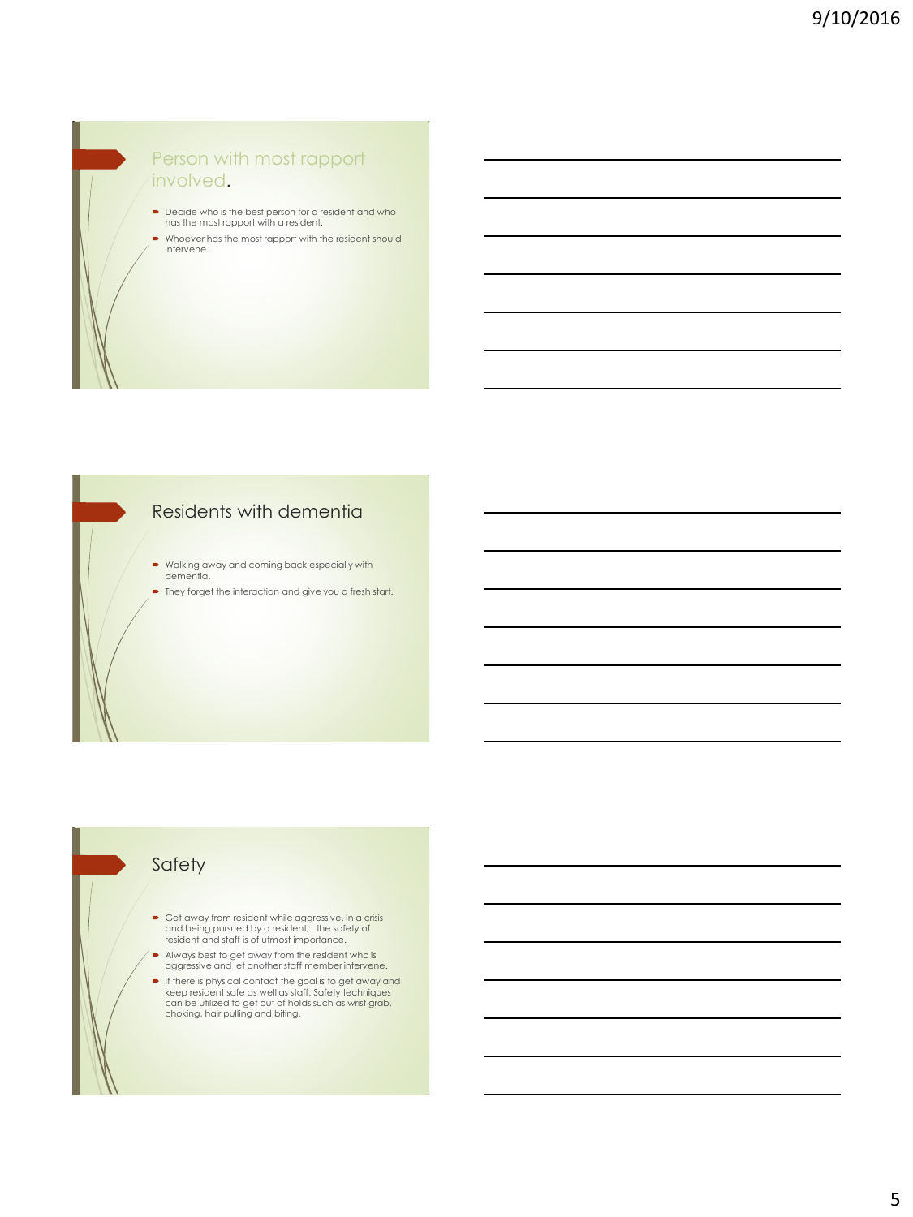### Person with most rapport involved.

- Decide who is the best person for a resident and who has the most rapport with a resident.
- Whoever has the most rapport with the resident should intervene.

## Residents with dementia

- Walking away and coming back especially with dementia.
- They forget the interaction and give you a fresh start.

### Safety

- Get away from resident while aggressive. In a crisis and being pursued by a resident, the safety of resident and staff is of utmost importance.
- Always best to get away from the resident who is aggressive and let another staff member intervene.
- If there is physical contact the goal is to get away and keep resident safe as well as staff. Safety techniques can be utilized to get out of holds such as wrist grab, choking, hair pulling and biting.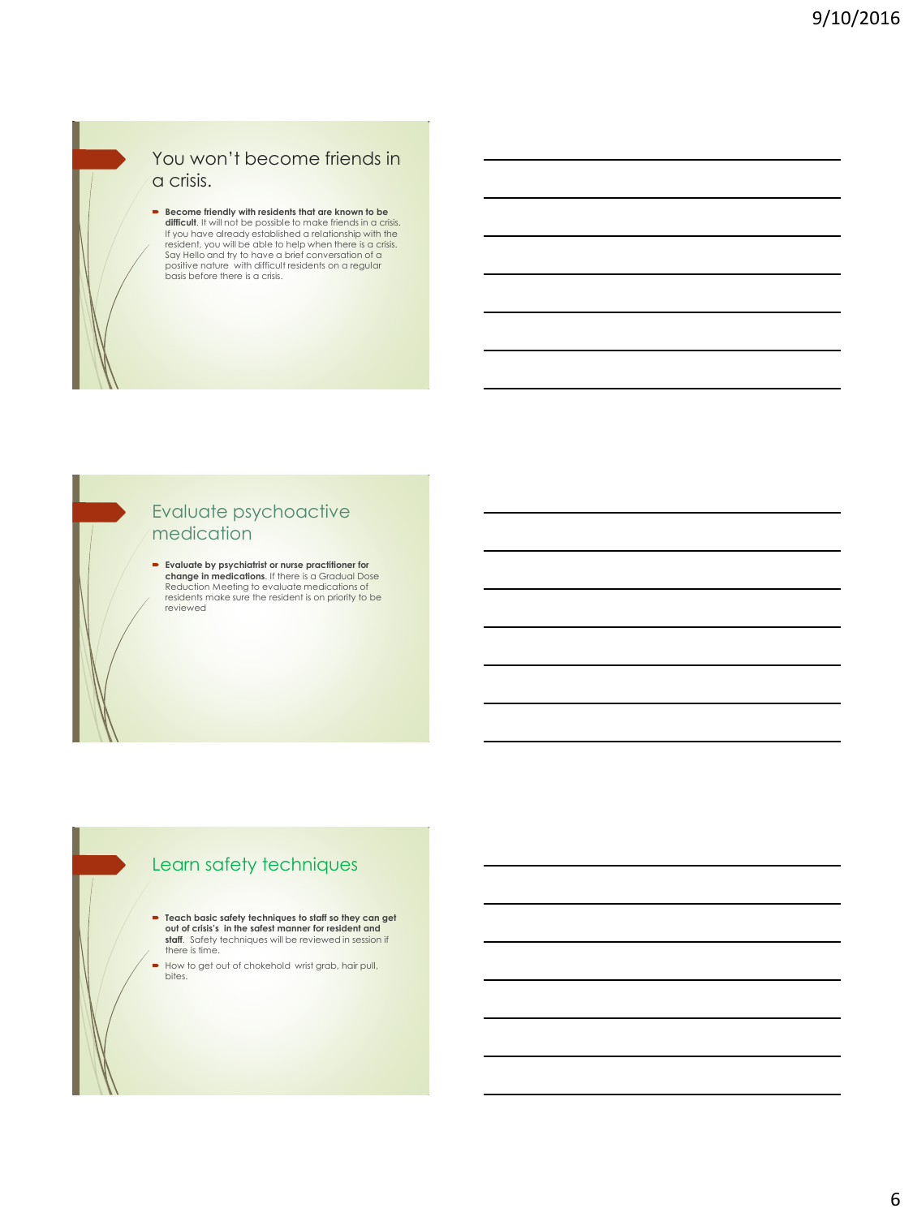

### You won't become friends in a crisis.

**Become friendly with residents that are known to be difficult**. It will not be possible to make friends in a crisis. If you have already established a relationship with the resident, you will be able to help when there is a crisis. Say Hello and try to have a brief conversation of a positive nature with difficult residents on a regular basis before there is a crisis.

### Evaluate psychoactive medication

 **Evaluate by psychiatrist or nurse practitioner for change in medications**. If there is a Gradual Dose Reduction Meeting to evaluate medications of residents make sure the resident is on priority to be reviewed

## Learn safety techniques

- **Teach basic safety techniques to staff so they can get out of crisis's in the safest manner for resident and staff**. Safety techniques will be reviewed in session if<br>there is time.
- How to get out of chokehold wrist grab, hair pull, bites.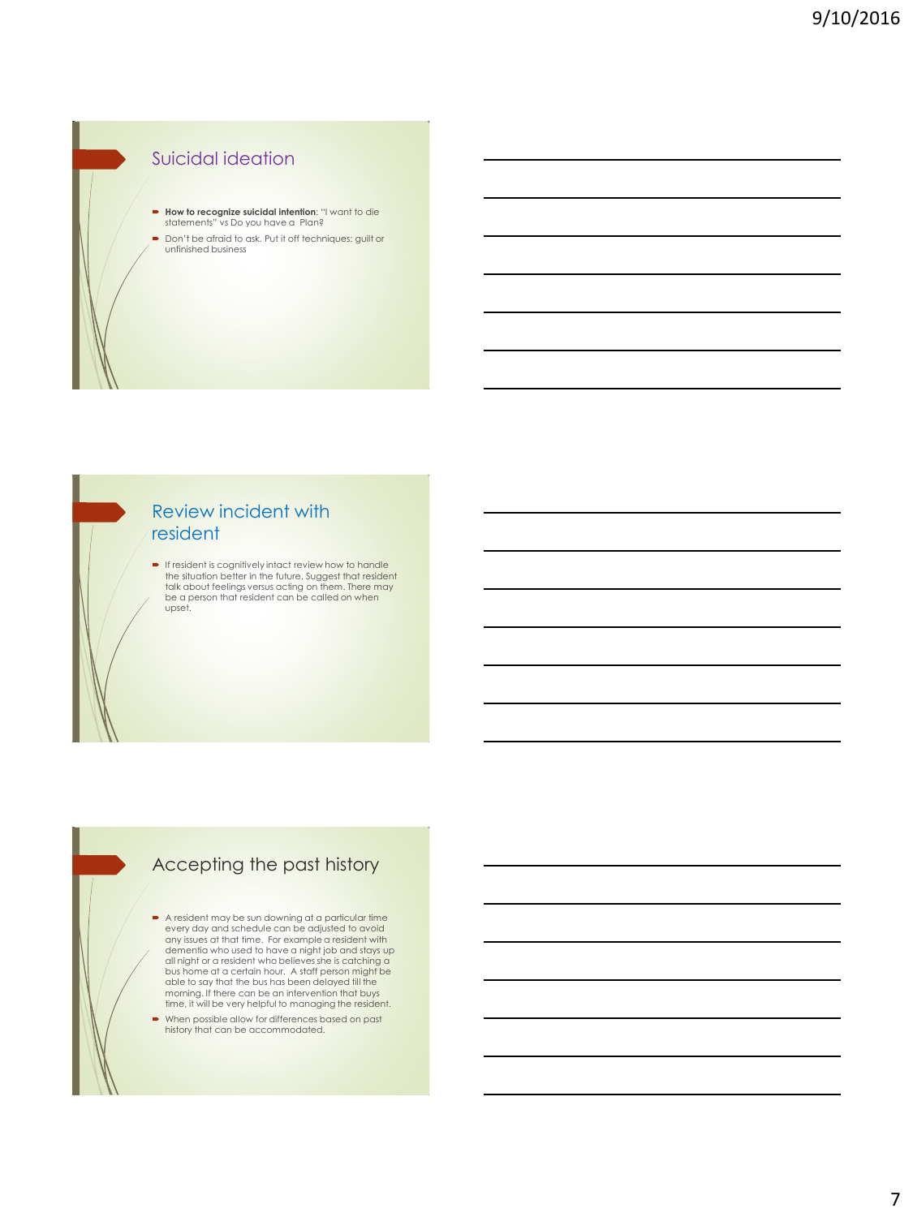## Suicidal ideation

- **How to recognize suicidal intention:** "I want to die statements" vs Do you have a Plan?
- Don't be afraid to ask. Put it off techniques: guilt or unfinished business

#### Review incident with resident

**If resident is cognitively intact review how to handle** the situation better in the future. Suggest that resident talk about feelings versus acting on them. There may be a person that resident can be called on when upset.

# Accepting the past history

- A resident may be sun downing at a particular time every day and schedule can be adjusted to avoid any issues at that time. For example a resident with<br>dementia who used to have a night job and stays up<br>all night or a resident who believes she is catching a<br>bus home at a certain hour. A staff person might be<br>able to say morning. If there can be an intervention that buys time, it will be very helpful to managing the resident.
- When possible allow for differences based on past history that can be accommodated.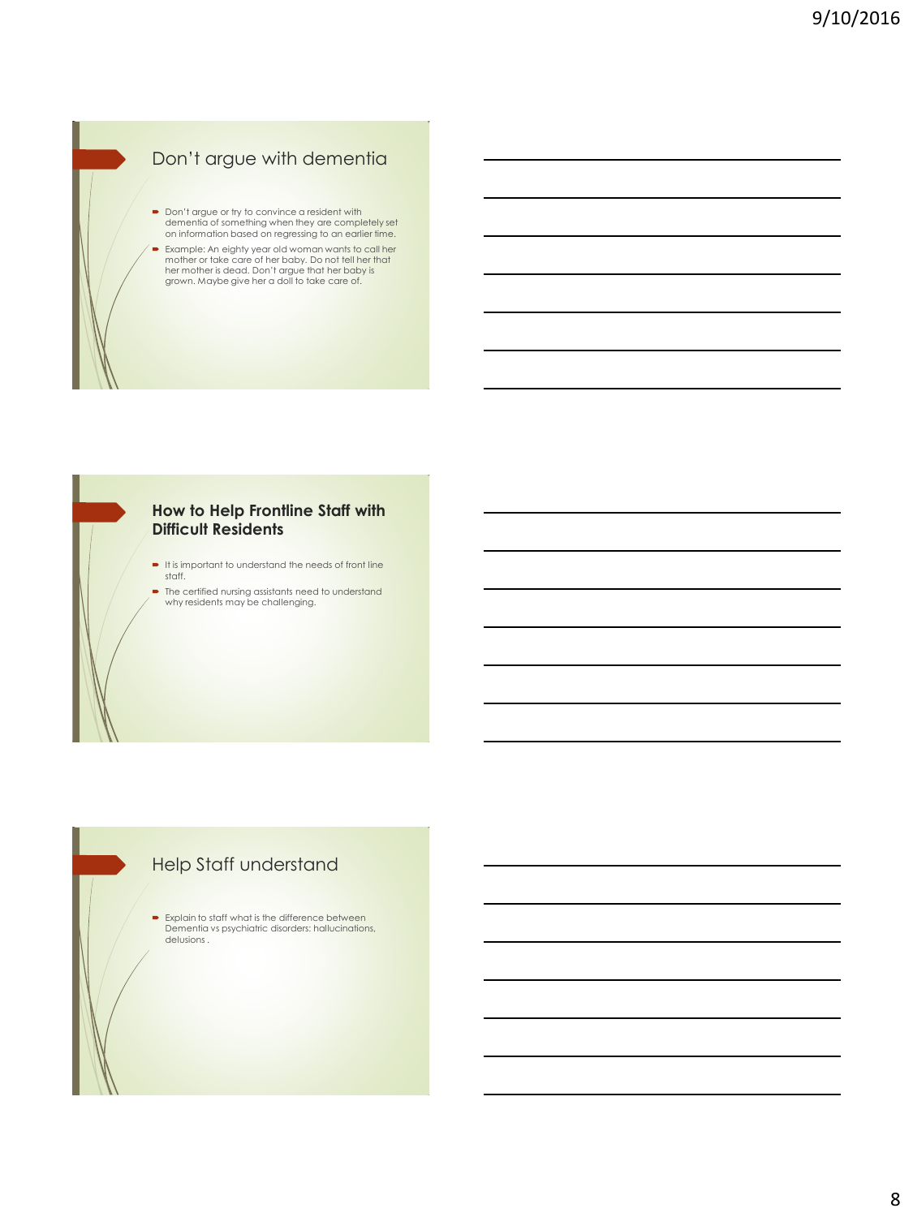# Don't argue with dementia

 Don't argue or try to convince a resident with dementia of something when they are completely set on information based on regressing to an earlier time. Example: An eighty year old woman wants to call her mother or take care of her baby. Do not tell her that her mother is dead. Don't argue that her baby is

grown. Maybe give her a doll to take care of.

#### **How to Help Frontline Staff with Difficult Residents**

- $\blacksquare$  It is important to understand the needs of front line staff.
- The certified nursing assistants need to understand why residents may be challenging.

# Help Staff understand

**Explain to staff what is the difference between** Dementia vs psychiatric disorders: hallucinations, delusions .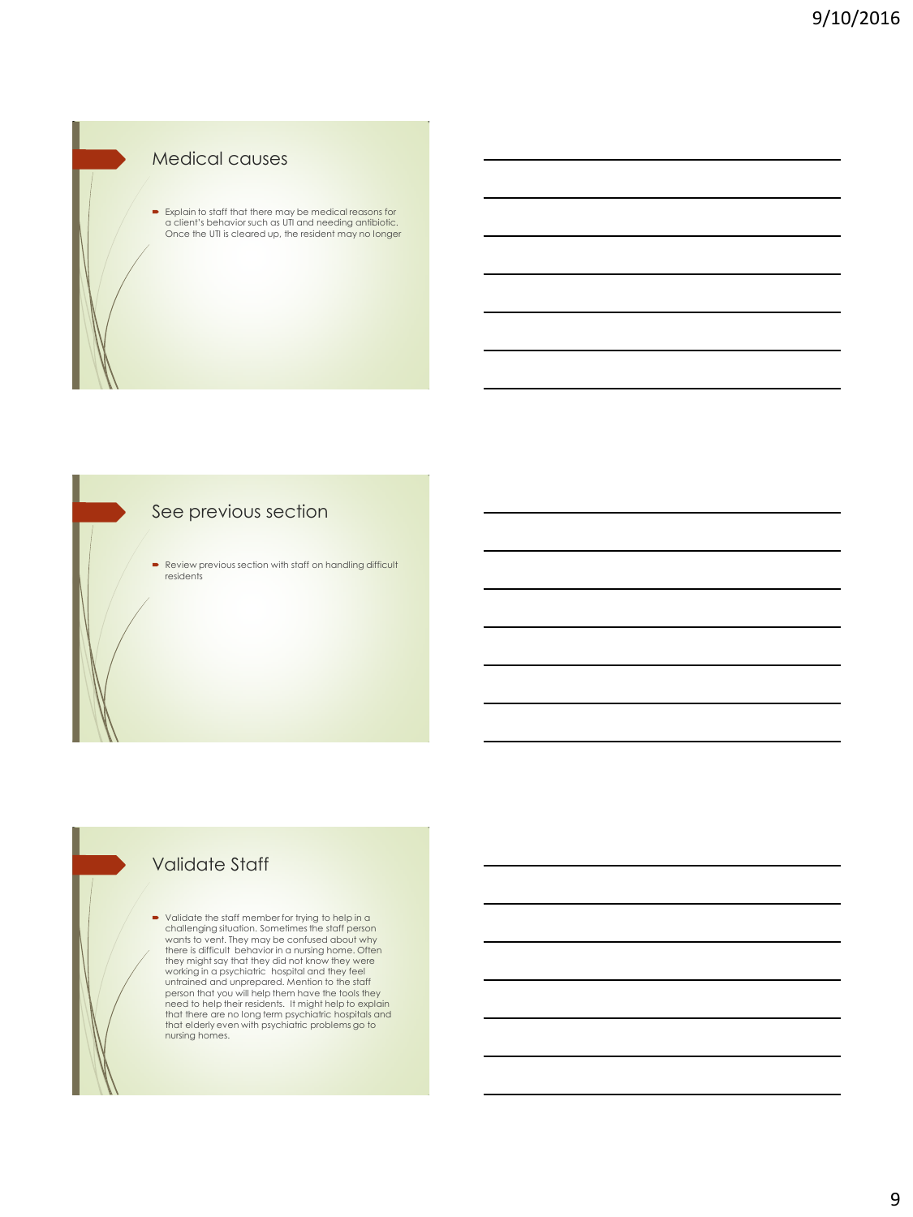### Medical causes

 Explain to staff that there may be medical reasons for a client's behavior such as UTI and needing antibiotic. Once the UTI is cleared up, the resident may no longer

## See previous section

Review previous section with staff on handling difficult residents

## Validate Staff

 Validate the staff member for trying to help in a challenging situation. Sometimes the staff person wants to vent. They may be confused about why<br>there is difficult behavior in a nursing home. Often<br>they might say that they did not know they were<br>working in a psychiatric hospital and they feel<br>untrained and unprepared. M person that you will help them have the tools they<br>need to help their residents. It might help to explain<br>that there are no long term psychiatric problems go to<br>that elderly even with psychiatric problems go to nursing homes.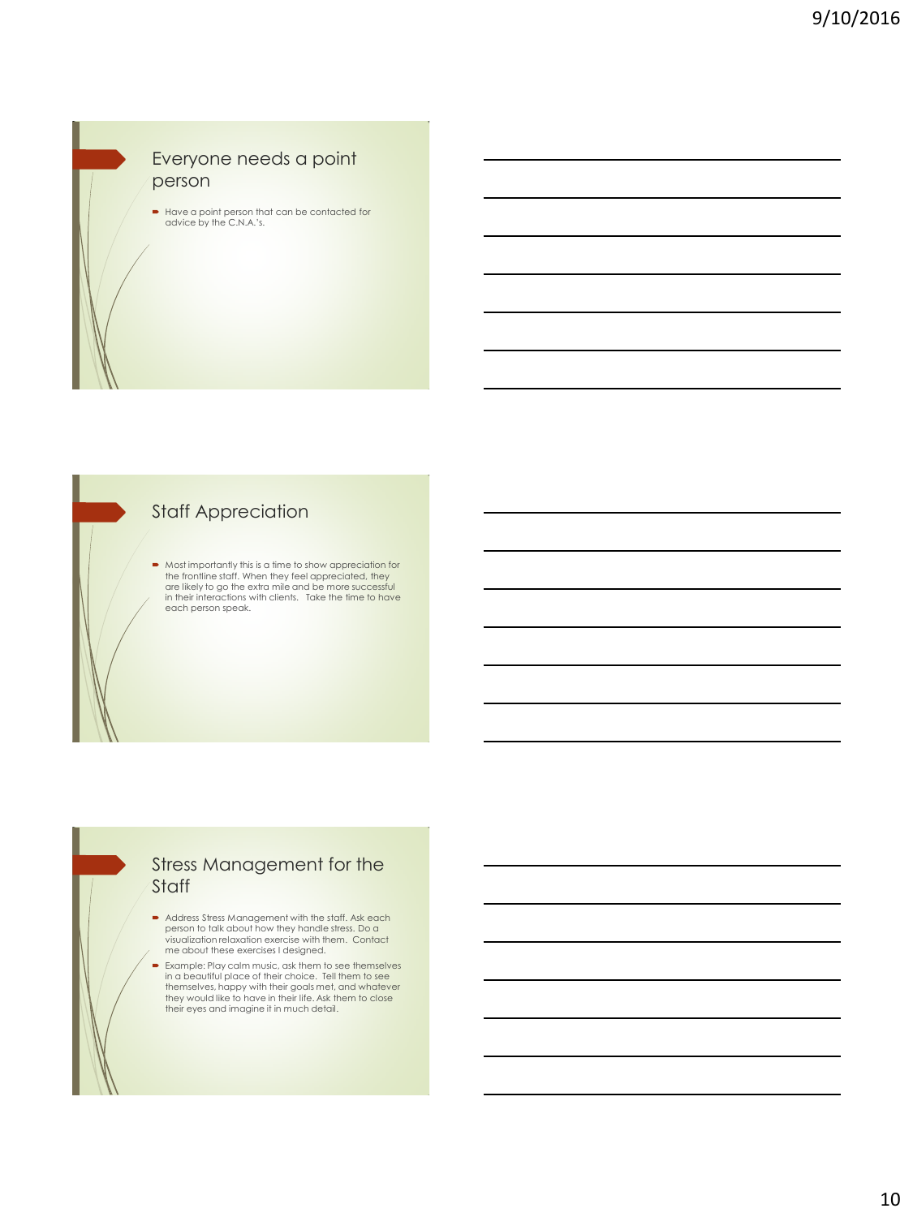### Everyone needs a point person

Have a point person that can be contacted for advice by the C.N.A.'s.

### **Staff Appreciation**

Most importantly this is a time to show appreciation for the frontline staff. When they feel appreciated, they<br>are likely to go the extra mile and be more successful<br>in their interactions with clients. Take the time to have each person speak.

### Stress Management for the Staff

- Address Stress Management with the staff. Ask each person to talk about how they handle stress. Do a visualization relaxation exercise with them. Contact me about these exercises I designed.
- Example: Play calm music, ask them to see themselves in a beautiful place of their choice. Tell them to see themselves, happy with their goals met, and whatever they would like to have in their life. Ask them to close their eyes and imagine it in much detail.